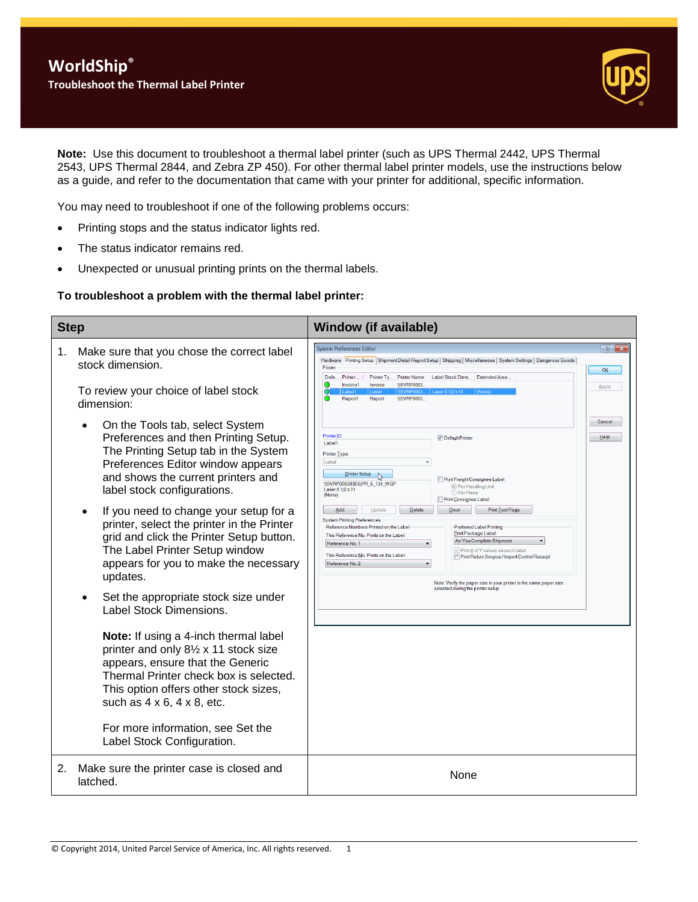

**Note:** Use this document to troubleshoot a thermal label printer (such as UPS Thermal 2442, UPS Thermal 2543, UPS Thermal 2844, and Zebra ZP 450). For other thermal label printer models, use the instructions below as a guide, and refer to the documentation that came with your printer for additional, specific information.

You may need to troubleshoot if one of the following problems occurs:

- Printing stops and the status indicator lights red.
- The status indicator remains red.
- Unexpected or unusual printing prints on the thermal labels.

### **To troubleshoot a problem with the thermal label printer:**

| <b>Step</b> |                                                                                                                                                                                                                                                                                                                                                                                                                                                                                                                                                                                                                                                                                                                                                                                                                                                                 | <b>Window (if available)</b>                                                                                                                                                                                                                                                                                                                                                                                                                                                                                                                                                                                                                                                                                                                                                                                                                         |
|-------------|-----------------------------------------------------------------------------------------------------------------------------------------------------------------------------------------------------------------------------------------------------------------------------------------------------------------------------------------------------------------------------------------------------------------------------------------------------------------------------------------------------------------------------------------------------------------------------------------------------------------------------------------------------------------------------------------------------------------------------------------------------------------------------------------------------------------------------------------------------------------|------------------------------------------------------------------------------------------------------------------------------------------------------------------------------------------------------------------------------------------------------------------------------------------------------------------------------------------------------------------------------------------------------------------------------------------------------------------------------------------------------------------------------------------------------------------------------------------------------------------------------------------------------------------------------------------------------------------------------------------------------------------------------------------------------------------------------------------------------|
| 1.          | Make sure that you chose the correct label<br>stock dimension.<br>To review your choice of label stock                                                                                                                                                                                                                                                                                                                                                                                                                                                                                                                                                                                                                                                                                                                                                          | $\left  \cdot \right $ $\left  \cdot \right $<br><b>System Preferences Editor</b><br>Hardware Printing Setup Shipment Detail Report Setup   Shipping   Miscellaneous   System Settings   Dangerous Goods<br>Printer<br>OK<br>Defa<br>Printer<br>Label Stock Dime Extended Area.<br>Printer Tv.<br><b>Printer Name</b><br>∩<br><b>IISVRP0003</b><br>Invoice1<br>Invoice<br>Apply<br>Report<br><b>IISVRP0003</b><br>Report1                                                                                                                                                                                                                                                                                                                                                                                                                            |
|             | dimension:<br>On the Tools tab, select System<br>Preferences and then Printing Setup.<br>The Printing Setup tab in the System<br>Preferences Editor window appears<br>and shows the current printers and<br>label stock configurations.<br>If you need to change your setup for a<br>printer, select the printer in the Printer<br>grid and click the Printer Setup button.<br>The Label Printer Setup window<br>appears for you to make the necessary<br>updates.<br>Set the appropriate stock size under<br>Label Stock Dimensions.<br>Note: If using a 4-inch thermal label<br>printer and only 81/2 x 11 stock size<br>appears, ensure that the Generic<br>Thermal Printer check box is selected.<br>This option offers other stock sizes,<br>such as $4 \times 6$ , $4 \times 8$ , etc.<br>For more information, see Set the<br>Label Stock Configuration. | Cancel<br><b>Printer ID</b><br>Help<br>Default Printer<br>Label1<br>Printer Type:<br>Label<br>Printer Setup<br>Print Freight Consignee Label<br>\\SVRP0003B3E6\PR_5_134_WGP<br><sup>O</sup> Per Handling Unit<br>Laser 8 1/2 x 11<br><b>Per Piece</b><br>(None)<br>Print Consignee Label<br>Delete<br>Clear<br>Print Test Page<br>Add<br>Update<br><b>System Printing Preferences</b><br><b>Preferred Label Printing</b><br>Reference Numbers Printed on the Label<br>Print Package Label:<br>This Reference No. Prints on the Label:<br>As You Complete Shipment<br>Reference No. 1<br>Print X of Y values on each label<br>This Reference No. Prints on the Label:<br>Print Return Service / Import Control Receipt<br>Reference No. 2<br>Note: Verify the paper size in your printer is the same paper size<br>selected during the printer setup. |
| 2.          | Make sure the printer case is closed and<br>latched.                                                                                                                                                                                                                                                                                                                                                                                                                                                                                                                                                                                                                                                                                                                                                                                                            | None                                                                                                                                                                                                                                                                                                                                                                                                                                                                                                                                                                                                                                                                                                                                                                                                                                                 |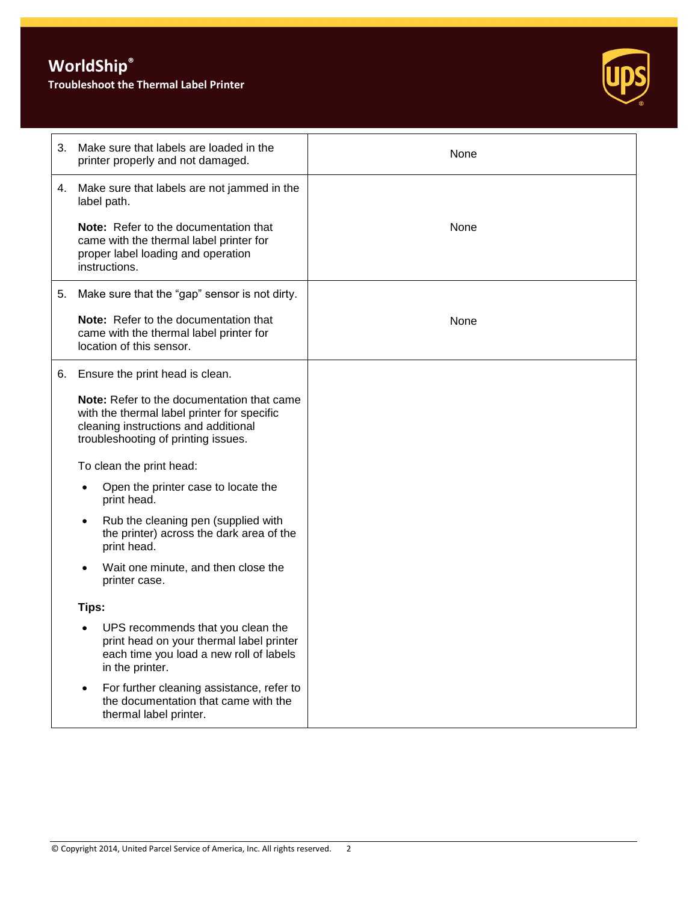# **WorldShip®**

### **Troubleshoot the Thermal Label Printer**



| 3. | Make sure that labels are loaded in the<br>printer properly and not damaged.                                                                                                    | None |
|----|---------------------------------------------------------------------------------------------------------------------------------------------------------------------------------|------|
| 4. | Make sure that labels are not jammed in the<br>label path.                                                                                                                      |      |
|    | <b>Note:</b> Refer to the documentation that<br>came with the thermal label printer for<br>proper label loading and operation<br>instructions.                                  | None |
| 5. | Make sure that the "gap" sensor is not dirty.                                                                                                                                   |      |
|    | Note: Refer to the documentation that<br>came with the thermal label printer for<br>location of this sensor.                                                                    | None |
| 6. | Ensure the print head is clean.                                                                                                                                                 |      |
|    | <b>Note:</b> Refer to the documentation that came<br>with the thermal label printer for specific<br>cleaning instructions and additional<br>troubleshooting of printing issues. |      |
|    | To clean the print head:                                                                                                                                                        |      |
|    | Open the printer case to locate the<br>$\bullet$<br>print head.                                                                                                                 |      |
|    | Rub the cleaning pen (supplied with<br>the printer) across the dark area of the<br>print head.                                                                                  |      |
|    | Wait one minute, and then close the<br>$\bullet$<br>printer case.                                                                                                               |      |
|    | Tips:                                                                                                                                                                           |      |
|    | UPS recommends that you clean the<br>print head on your thermal label printer<br>each time you load a new roll of labels<br>in the printer.                                     |      |
|    | For further cleaning assistance, refer to<br>$\bullet$<br>the documentation that came with the<br>thermal label printer.                                                        |      |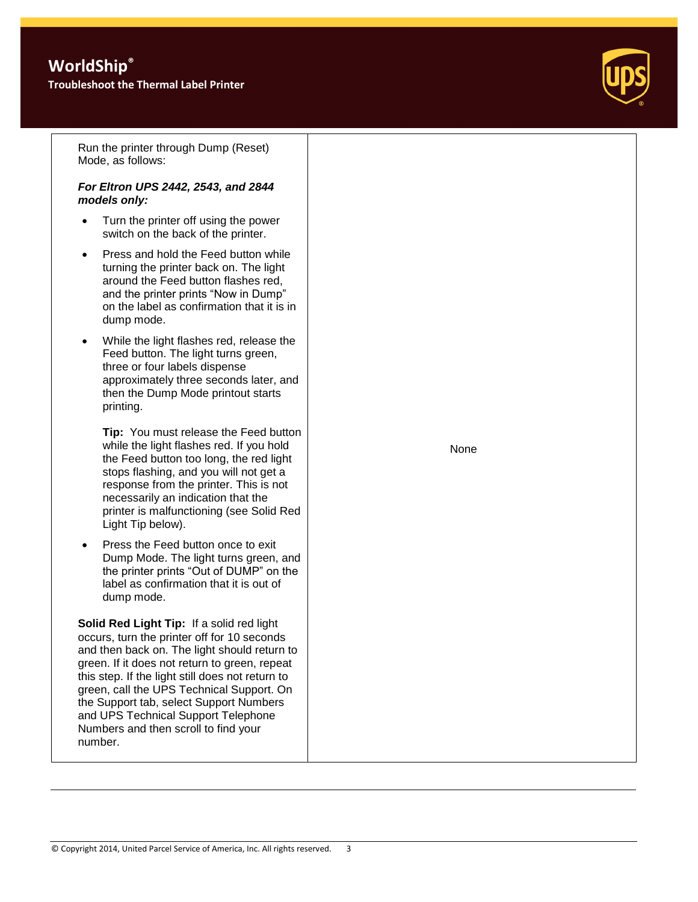## **WorldShip®**

**Troubleshoot the Thermal Label Printer**



Run the printer through Dump (Reset) Mode, as follows:

### *For Eltron UPS 2442, 2543, and 2844 models only:*

- Turn the printer off using the power switch on the back of the printer.
- Press and hold the Feed button while turning the printer back on. The light around the Feed button flashes red, and the printer prints "Now in Dump" on the label as confirmation that it is in dump mode.
- While the light flashes red, release the Feed button. The light turns green, three or four labels dispense approximately three seconds later, and then the Dump Mode printout starts printing.

**Tip:** You must release the Feed button while the light flashes red. If you hold the Feed button too long, the red light stops flashing, and you will not get a response from the printer. This is not necessarily an indication that the printer is malfunctioning (see Solid Red Light Tip below).

 Press the Feed button once to exit Dump Mode. The light turns green, and the printer prints "Out of DUMP" on the label as confirmation that it is out of dump mode.

**Solid Red Light Tip:** If a solid red light occurs, turn the printer off for 10 seconds and then back on. The light should return to green. If it does not return to green, repeat this step. If the light still does not return to green, call the UPS Technical Support. On the Support tab, select Support Numbers and UPS Technical Support Telephone Numbers and then scroll to find your number.

None